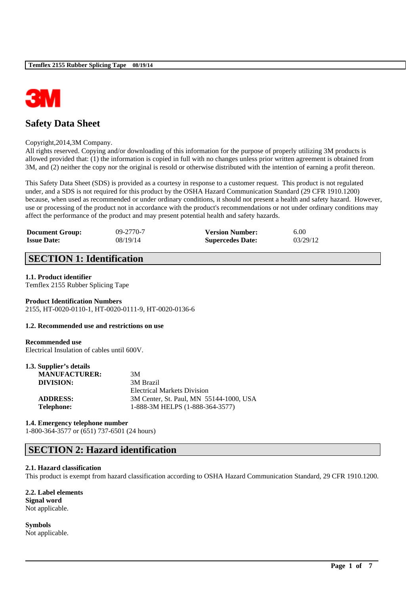

# **Safety Data Sheet**

#### Copyright,2014,3M Company.

All rights reserved. Copying and/or downloading of this information for the purpose of properly utilizing 3M products is allowed provided that: (1) the information is copied in full with no changes unless prior written agreement is obtained from 3M, and (2) neither the copy nor the original is resold or otherwise distributed with the intention of earning a profit thereon.

This Safety Data Sheet (SDS) is provided as a courtesy in response to a customer request. This product is not regulated under, and a SDS is not required for this product by the OSHA Hazard Communication Standard (29 CFR 1910.1200) because, when used as recommended or under ordinary conditions, it should not present a health and safety hazard. However, use or processing of the product not in accordance with the product's recommendations or not under ordinary conditions may affect the performance of the product and may present potential health and safety hazards.

| <b>Document Group:</b> | $09 - 2770 - 7$ | <b>Version Number:</b>  | 6.00     |
|------------------------|-----------------|-------------------------|----------|
| <b>Issue Date:</b>     | 08/19/14        | <b>Supercedes Date:</b> | 03/29/12 |

# **SECTION 1: Identification**

# **1.1. Product identifier**

Temflex 2155 Rubber Splicing Tape

#### **Product Identification Numbers** 2155, HT-0020-0110-1, HT-0020-0111-9, HT-0020-0136-6

#### **1.2. Recommended use and restrictions on use**

#### **Recommended use**

Electrical Insulation of cables until 600V.

# **1.3. Supplier's details**

| <b>MANUFACTURER:</b> | 3M                                      |
|----------------------|-----------------------------------------|
| DIVISION:            | 3M Brazil                               |
|                      | <b>Electrical Markets Division</b>      |
| <b>ADDRESS:</b>      | 3M Center, St. Paul, MN 55144-1000, USA |
| Telephone:           | 1-888-3M HELPS (1-888-364-3577)         |

#### **1.4. Emergency telephone number**

1-800-364-3577 or (651) 737-6501 (24 hours)

# **SECTION 2: Hazard identification**

# **2.1. Hazard classification**

This product is exempt from hazard classification according to OSHA Hazard Communication Standard, 29 CFR 1910.1200.

\_\_\_\_\_\_\_\_\_\_\_\_\_\_\_\_\_\_\_\_\_\_\_\_\_\_\_\_\_\_\_\_\_\_\_\_\_\_\_\_\_\_\_\_\_\_\_\_\_\_\_\_\_\_\_\_\_\_\_\_\_\_\_\_\_\_\_\_\_\_\_\_\_\_\_\_\_\_\_\_\_\_\_\_\_\_\_\_\_\_

**2.2. Label elements Signal word** Not applicable.

**Symbols** Not applicable.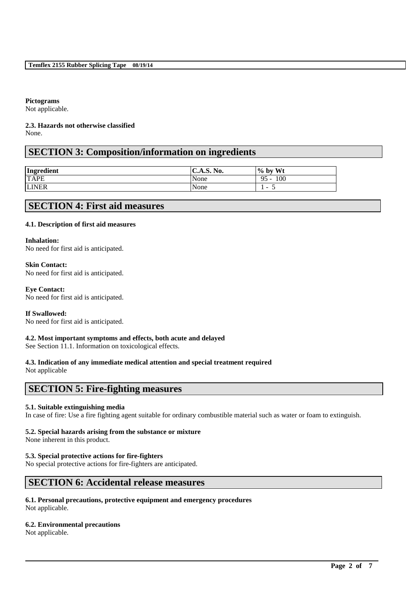# **Pictograms**

Not applicable.

#### **2.3. Hazards not otherwise classified** None.

# **SECTION 3: Composition/information on ingredients**

| Ingredient   | $\mathbf{C}$ . A.S. No. | $\frac{6}{10}$ by Wt     |
|--------------|-------------------------|--------------------------|
| <b>TAPE</b>  | None                    | 100<br>$95 -$            |
| <b>LINER</b> | None                    | $\overline{\phantom{a}}$ |

# **SECTION 4: First aid measures**

# **4.1. Description of first aid measures**

#### **Inhalation:**

No need for first aid is anticipated.

# **Skin Contact:**

No need for first aid is anticipated.

# **Eye Contact:**

No need for first aid is anticipated.

# **If Swallowed:**

No need for first aid is anticipated.

# **4.2. Most important symptoms and effects, both acute and delayed**

See Section 11.1. Information on toxicological effects.

# **4.3. Indication of any immediate medical attention and special treatment required**

Not applicable

# **SECTION 5: Fire-fighting measures**

# **5.1. Suitable extinguishing media**

In case of fire: Use a fire fighting agent suitable for ordinary combustible material such as water or foam to extinguish.

\_\_\_\_\_\_\_\_\_\_\_\_\_\_\_\_\_\_\_\_\_\_\_\_\_\_\_\_\_\_\_\_\_\_\_\_\_\_\_\_\_\_\_\_\_\_\_\_\_\_\_\_\_\_\_\_\_\_\_\_\_\_\_\_\_\_\_\_\_\_\_\_\_\_\_\_\_\_\_\_\_\_\_\_\_\_\_\_\_\_

# **5.2. Special hazards arising from the substance or mixture**

None inherent in this product.

# **5.3. Special protective actions for fire-fighters**

No special protective actions for fire-fighters are anticipated.

# **SECTION 6: Accidental release measures**

#### **6.1. Personal precautions, protective equipment and emergency procedures** Not applicable.

# **6.2. Environmental precautions**

Not applicable.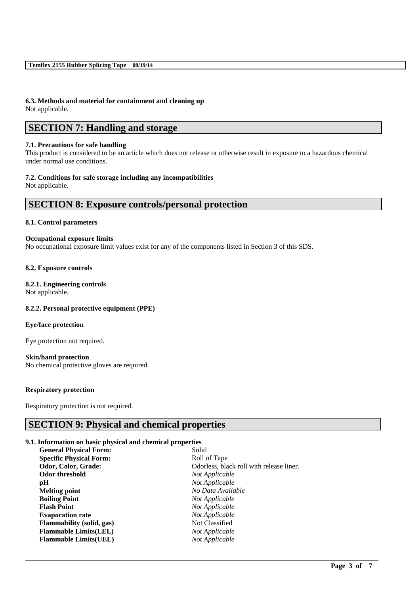### **6.3. Methods and material for containment and cleaning up** Not applicable.

# **SECTION 7: Handling and storage**

### **7.1. Precautions for safe handling**

This product is considered to be an article which does not release or otherwise result in exposure to a hazardous chemical under normal use conditions.

# **7.2. Conditions for safe storage including any incompatibilities**

Not applicable.

# **SECTION 8: Exposure controls/personal protection**

#### **8.1. Control parameters**

#### **Occupational exposure limits**

No occupational exposure limit values exist for any of the components listed in Section 3 of this SDS.

# **8.2. Exposure controls**

# **8.2.1. Engineering controls**

Not applicable.

# **8.2.2. Personal protective equipment (PPE)**

# **Eye/face protection**

Eye protection not required.

# **Skin/hand protection**

No chemical protective gloves are required.

# **Respiratory protection**

Respiratory protection is not required.

# **SECTION 9: Physical and chemical properties**

# **9.1. Information on basic physical and chemical properties**

| <b>General Physical Form:</b>    | Solid                                    |
|----------------------------------|------------------------------------------|
| <b>Specific Physical Form:</b>   | Roll of Tape                             |
| Odor, Color, Grade:              | Odorless, black roll with release liner. |
| Odor threshold                   | Not Applicable                           |
| рH                               | Not Applicable                           |
| Melting point                    | No Data Available                        |
| <b>Boiling Point</b>             | Not Applicable                           |
| <b>Flash Point</b>               | Not Applicable                           |
| <b>Evaporation rate</b>          | Not Applicable                           |
| <b>Flammability (solid, gas)</b> | Not Classified                           |
| <b>Flammable Limits(LEL)</b>     | Not Applicable                           |
| <b>Flammable Limits(UEL)</b>     | Not Applicable                           |

\_\_\_\_\_\_\_\_\_\_\_\_\_\_\_\_\_\_\_\_\_\_\_\_\_\_\_\_\_\_\_\_\_\_\_\_\_\_\_\_\_\_\_\_\_\_\_\_\_\_\_\_\_\_\_\_\_\_\_\_\_\_\_\_\_\_\_\_\_\_\_\_\_\_\_\_\_\_\_\_\_\_\_\_\_\_\_\_\_\_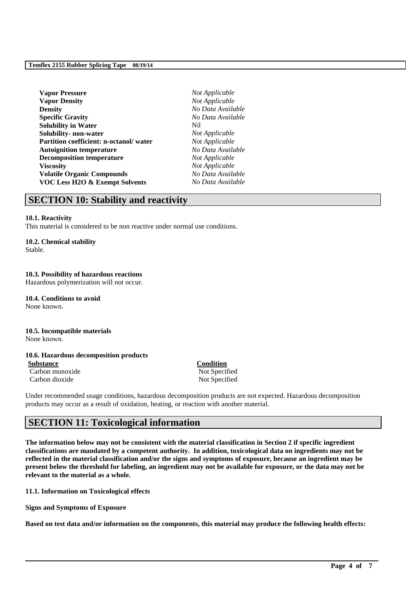| <b>Vapor Pressure</b>                     | No  |
|-------------------------------------------|-----|
| <b>Vapor Density</b>                      | No  |
| <b>Density</b>                            | No  |
| <b>Specific Gravity</b>                   | No  |
| <b>Solubility in Water</b>                | Nil |
| Solubility- non-water                     | No  |
| Partition coefficient: n-octanol/water    | No  |
| <b>Autoignition temperature</b>           | No  |
| <b>Decomposition temperature</b>          | No  |
| <b>Viscosity</b>                          | No  |
| <b>Volatile Organic Compounds</b>         | No  |
| <b>VOC Less H2O &amp; Exempt Solvents</b> | No  |

 $Not Applicable$  $Not Applicable$ **Density** *No Data Available* **Specific Gravity** *No Data Available*  $Not Applicable$  $Not Appliedble$ **Autoignition temperature** *No Data Available* **Not Applicable**  $Not Appliedble$ **Volatile Organic Compounds** *No Data Available* **VOC Less H2O & Exempt Solvents** *No Data Available*

# **SECTION 10: Stability and reactivity**

#### **10.1. Reactivity**

This material is considered to be non reactive under normal use conditions.

#### **10.2. Chemical stability**

Stable.

# **10.3. Possibility of hazardous reactions**

Hazardous polymerization will not occur.

**10.4. Conditions to avoid** None known.

# **10.5. Incompatible materials**

None known.

# **10.6. Hazardous decomposition products**

**Substance Condition** Carbon monoxide Not Specified

Carbon dioxide Not Specified

Under recommended usage conditions, hazardous decomposition products are not expected. Hazardous decomposition products may occur as a result of oxidation, heating, or reaction with another material.

# **SECTION 11: Toxicological information**

**The information below may not be consistent with the material classification in Section 2 if specific ingredient classifications are mandated by a competent authority. In addition, toxicological data on ingredients may not be reflected in the material classification and/or the signs and symptoms of exposure, because an ingredient may be present below the threshold for labeling, an ingredient may not be available for exposure, or the data may not be relevant to the material as a whole.**

**11.1. Information on Toxicological effects**

**Signs and Symptoms of Exposure**

**Based on test data and/or information on the components, this material may produce the following health effects:**

\_\_\_\_\_\_\_\_\_\_\_\_\_\_\_\_\_\_\_\_\_\_\_\_\_\_\_\_\_\_\_\_\_\_\_\_\_\_\_\_\_\_\_\_\_\_\_\_\_\_\_\_\_\_\_\_\_\_\_\_\_\_\_\_\_\_\_\_\_\_\_\_\_\_\_\_\_\_\_\_\_\_\_\_\_\_\_\_\_\_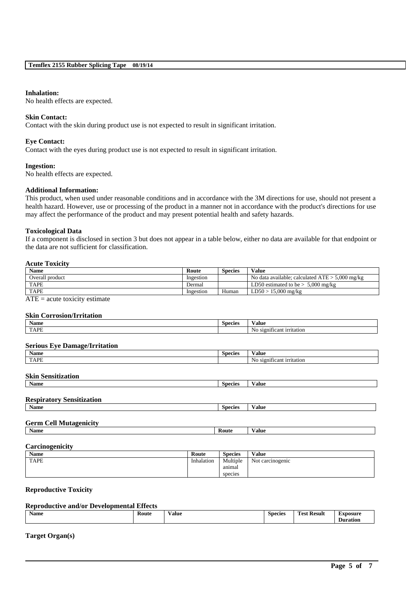#### **Inhalation:**

No health effects are expected.

#### **Skin Contact:**

Contact with the skin during product use is not expected to result in significant irritation.

#### **Eye Contact:**

Contact with the eyes during product use is not expected to result in significant irritation.

#### **Ingestion:**

No health effects are expected.

#### **Additional Information:**

This product, when used under reasonable conditions and in accordance with the 3M directions for use, should not present a health hazard. However, use or processing of the product in a manner not in accordance with the product's directions for use may affect the performance of the product and may present potential health and safety hazards.

#### **Toxicological Data**

If a component is disclosed in section 3 but does not appear in a table below, either no data are available for that endpoint or the data are not sufficient for classification.

#### **Acute Toxicity**

| <b>Name</b>     | Route     | Species | Value                                             |
|-----------------|-----------|---------|---------------------------------------------------|
| Overall product | Ingestion |         | No data available: calculated $ATE > 5.000$ mg/kg |
| <b>TAPE</b>     | Dermal    |         | LD50 estimated to be $> 5,000$ mg/kg              |
| <b>TAPE</b>     | Ingestion | Human   | $LD50 > 15,000$ mg/kg                             |

 $ATE = acute$  toxicity estimate

### **Skin Corrosion/Irritation**

| <b>Name</b>                          | <b>Species</b> | <b>Value</b>              |  |
|--------------------------------------|----------------|---------------------------|--|
| <b>TAPE</b>                          |                | No significant irritation |  |
|                                      |                |                           |  |
| <b>Serious Eye Damage/Irritation</b> |                |                           |  |
| <b>Name</b>                          | <b>Species</b> | <b>Value</b>              |  |
| <b>TAPE</b>                          |                | No significant irritation |  |
|                                      |                |                           |  |
| <b>Skin Sensitization</b>            |                |                           |  |
| Name                                 | <b>Species</b> | <b>Value</b>              |  |
|                                      |                |                           |  |
| <b>Respiratory Sensitization</b>     |                |                           |  |
| <b>Name</b>                          | <b>Species</b> | <b>Value</b>              |  |
|                                      |                |                           |  |
| <b>Germ Cell Mutagenicity</b>        |                |                           |  |
| <b>Name</b>                          | Route          | <b>Value</b>              |  |

# **Carcinogenicity**

| <b>Name</b> | Route      | <b>Species</b> | Value            |
|-------------|------------|----------------|------------------|
| <b>TAPE</b> | Inhalation | Multiple       | Not carcinogenic |
|             |            | anımal         |                  |
|             |            | species        |                  |

# **Reproductive Toxicity**

# **Reproductive and/or Developmental Effects**

| Name<br>- | <b>Route</b><br>. | Value | <b>Species</b> | <b>CONTRACT</b><br><b>Result</b><br>Fest<br>. | <b>Exposure</b><br>ation.<br>ונו |
|-----------|-------------------|-------|----------------|-----------------------------------------------|----------------------------------|
|           |                   |       |                |                                               |                                  |

\_\_\_\_\_\_\_\_\_\_\_\_\_\_\_\_\_\_\_\_\_\_\_\_\_\_\_\_\_\_\_\_\_\_\_\_\_\_\_\_\_\_\_\_\_\_\_\_\_\_\_\_\_\_\_\_\_\_\_\_\_\_\_\_\_\_\_\_\_\_\_\_\_\_\_\_\_\_\_\_\_\_\_\_\_\_\_\_\_\_

# **Target Organ(s)**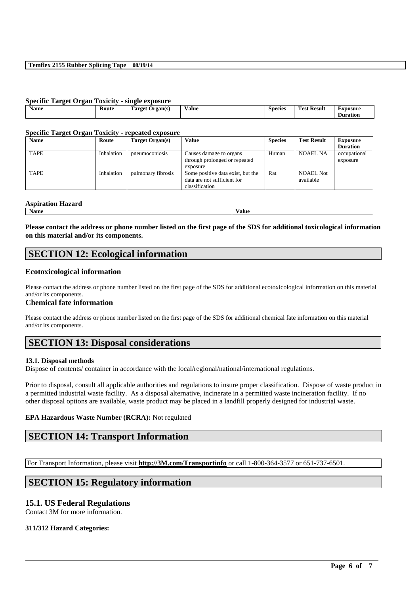#### **Temflex 2155 Rubber Splicing Tape 08/19/14**

| <b>Specific Target Organ Toxicity - single exposure</b> |       |                 |       |                |                    |                             |
|---------------------------------------------------------|-------|-----------------|-------|----------------|--------------------|-----------------------------|
| <b>Name</b>                                             | Route | Target Organ(s) | Value | <b>Species</b> | <b>Test Result</b> | Exposure<br><b>Duration</b> |

#### **Specific Target Organ Toxicity - repeated exposure**

| <b>Name</b> | Route             | Target Organ(s)    | Value                                                                              | <b>Species</b> | <b>Test Result</b>            | <b>Exposure</b>          |
|-------------|-------------------|--------------------|------------------------------------------------------------------------------------|----------------|-------------------------------|--------------------------|
|             |                   |                    |                                                                                    |                |                               | <b>Duration</b>          |
| <b>TAPE</b> | <b>Inhalation</b> | pneumoconiosis     | Causes damage to organs<br>through prolonged or repeated<br>exposure               | Human          | NOAEL NA                      | occupational<br>exposure |
| <b>TAPE</b> | Inhalation        | pulmonary fibrosis | Some positive data exist, but the<br>data are not sufficient for<br>classification | Rat            | <b>NOAEL Not</b><br>available |                          |

#### **Aspiration Hazard**

**Name Value**

**Please contact the address or phone number listed on the first page of the SDS for additional toxicological information on this material and/or its components.**

# **SECTION 12: Ecological information**

# **Ecotoxicological information**

Please contact the address or phone number listed on the first page of the SDS for additional ecotoxicological information on this material and/or its components.

# **Chemical fate information**

Please contact the address or phone number listed on the first page of the SDS for additional chemical fate information on this material and/or its components.

# **SECTION 13: Disposal considerations**

# **13.1. Disposal methods**

Dispose of contents/ container in accordance with the local/regional/national/international regulations.

Prior to disposal, consult all applicable authorities and regulations to insure proper classification. Dispose of waste product in a permitted industrial waste facility. As a disposal alternative, incinerate in a permitted waste incineration facility. If no other disposal options are available, waste product may be placed in a landfill properly designed for industrial waste.

\_\_\_\_\_\_\_\_\_\_\_\_\_\_\_\_\_\_\_\_\_\_\_\_\_\_\_\_\_\_\_\_\_\_\_\_\_\_\_\_\_\_\_\_\_\_\_\_\_\_\_\_\_\_\_\_\_\_\_\_\_\_\_\_\_\_\_\_\_\_\_\_\_\_\_\_\_\_\_\_\_\_\_\_\_\_\_\_\_\_

# **EPA Hazardous Waste Number (RCRA):** Not regulated

# **SECTION 14: Transport Information**

For Transport Information, please visit **http://3M.com/Transportinfo** or call 1-800-364-3577 or 651-737-6501.

# **SECTION 15: Regulatory information**

# **15.1. US Federal Regulations**

Contact 3M for more information.

# **311/312 Hazard Categories:**